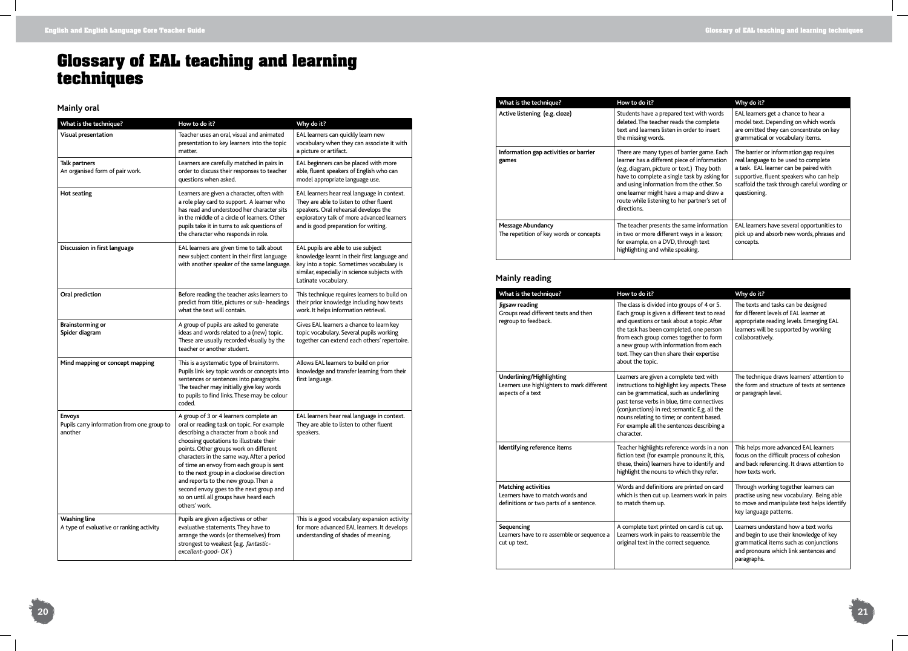

# **Glossary of EAL teaching and learning techniques**

### **Mainly oral**

| What is the technique?                                                 | How to do it?                                                                                                                                                                                                                                                                                                                                                                                                                                                                                             | Why do it?                                                                                                                                                                                                            |  |
|------------------------------------------------------------------------|-----------------------------------------------------------------------------------------------------------------------------------------------------------------------------------------------------------------------------------------------------------------------------------------------------------------------------------------------------------------------------------------------------------------------------------------------------------------------------------------------------------|-----------------------------------------------------------------------------------------------------------------------------------------------------------------------------------------------------------------------|--|
| <b>Visual presentation</b>                                             | Teacher uses an oral, visual and animated<br>presentation to key learners into the topic<br>matter.                                                                                                                                                                                                                                                                                                                                                                                                       | EAL learners can quickly learn new<br>vocabulary when they can associate it with<br>a picture or artifact.                                                                                                            |  |
| <b>Talk partners</b><br>An organised form of pair work.                | Learners are carefully matched in pairs in<br>order to discuss their responses to teacher<br>questions when asked.                                                                                                                                                                                                                                                                                                                                                                                        | EAL beginners can be placed with more<br>able, fluent speakers of English who can<br>model appropriate language use.                                                                                                  |  |
| <b>Hot seating</b>                                                     | Learners are given a character, often with<br>a role play card to support. A learner who<br>has read and understood her character sits<br>in the middle of a circle of learners. Other<br>pupils take it in turns to ask questions of<br>the character who responds in role.                                                                                                                                                                                                                              | EAL learners hear real language in context.<br>They are able to listen to other fluent<br>speakers. Oral rehearsal develops the<br>exploratory talk of more advanced learners<br>and is good preparation for writing. |  |
| Discussion in first language                                           | EAL learners are given time to talk about<br>new subject content in their first language<br>with another speaker of the same language.                                                                                                                                                                                                                                                                                                                                                                    | EAL pupils are able to use subject<br>knowledge learnt in their first language and<br>key into a topic. Sometimes vocabulary is<br>similar, especially in science subjects with<br>Latinate vocabulary.               |  |
| Oral prediction                                                        | Before reading the teacher asks learners to<br>predict from title, pictures or sub- headings<br>what the text will contain.                                                                                                                                                                                                                                                                                                                                                                               | This technique requires learners to build on<br>their prior knowledge including how texts<br>work. It helps information retrieval.                                                                                    |  |
| <b>Brainstorming or</b><br>Spider diagram                              | A group of pupils are asked to generate<br>ideas and words related to a (new) topic.<br>These are usually recorded visually by the<br>teacher or another student.                                                                                                                                                                                                                                                                                                                                         | Gives EAL learners a chance to learn key<br>topic vocabulary. Several pupils working<br>together can extend each others' repertoire.                                                                                  |  |
| Mind mapping or concept mapping                                        | This is a systematic type of brainstorm.<br>Pupils link key topic words or concepts into<br>sentences or sentences into paragraphs.<br>The teacher may initially give key words<br>to pupils to find links. These may be colour<br>coded.                                                                                                                                                                                                                                                                 | Allows EAL learners to build on prior<br>knowledge and transfer learning from their<br>first language.                                                                                                                |  |
| <b>Envoys</b><br>Pupils carry information from one group to<br>another | A group of 3 or 4 learners complete an<br>oral or reading task on topic. For example<br>describing a character from a book and<br>choosing quotations to illustrate their<br>points. Other groups work on different<br>characters in the same way. After a period<br>of time an envoy from each group is sent<br>to the next group in a clockwise direction<br>and reports to the new group. Then a<br>second envoy goes to the next group and<br>so on until all groups have heard each<br>others' work. | EAL learners hear real language in context.<br>They are able to listen to other fluent<br>speakers.                                                                                                                   |  |
| <b>Washing line</b><br>A type of evaluative or ranking activity        | Pupils are given adjectives or other<br>evaluative statements. They have to<br>arrange the words (or themselves) from<br>strongest to weakest (e.g. fantastic-<br>excellent-good-OK)                                                                                                                                                                                                                                                                                                                      | This is a good vocabulary expansion activity<br>for more advanced EAL learners. It develops<br>understanding of shades of meaning.                                                                                    |  |

| What is the technique?                                              | How to do it?                                                                                                                                                                                                                                                                                                                                   | Why do it?<br>EAL learners get a chance to hear a<br>model text. Depending on which words<br>are omitted they can concentrate on key<br>grammatical or vocabulary items.                                                              |  |
|---------------------------------------------------------------------|-------------------------------------------------------------------------------------------------------------------------------------------------------------------------------------------------------------------------------------------------------------------------------------------------------------------------------------------------|---------------------------------------------------------------------------------------------------------------------------------------------------------------------------------------------------------------------------------------|--|
| Active listening (e.g. cloze)                                       | Students have a prepared text with words<br>deleted. The teacher reads the complete<br>text and learners listen in order to insert<br>the missing words.                                                                                                                                                                                        |                                                                                                                                                                                                                                       |  |
| Information gap activities or barrier<br>games                      | There are many types of barrier game. Each<br>learner has a different piece of information<br>(e.g. diagram, picture or text.) They both<br>have to complete a single task by asking for<br>and using information from the other. So<br>one learner might have a map and draw a<br>route while listening to her partner's set of<br>directions. | The barrier or information gap requires<br>real language to be used to complete<br>a task. EAL learner can be paired with<br>supportive, fluent speakers who can help<br>scaffold the task through careful wording or<br>questioning. |  |
| <b>Message Abundancy</b><br>The repetition of key words or concepts | The teacher presents the same information<br>in two or more different ways in a lesson;<br>for example, on a DVD, through text<br>highlighting and while speaking.                                                                                                                                                                              | EAL learners have several opportunities to<br>pick up and absorb new words, phrases and<br>concepts.                                                                                                                                  |  |

### **Mainly reading**

| What is the technique?                                                                                    | How to do it?                                                                                                                                                                                                                                                                                                                             | Why do it?                                                                                                                                                                             |
|-----------------------------------------------------------------------------------------------------------|-------------------------------------------------------------------------------------------------------------------------------------------------------------------------------------------------------------------------------------------------------------------------------------------------------------------------------------------|----------------------------------------------------------------------------------------------------------------------------------------------------------------------------------------|
| Jigsaw reading<br>Groups read different texts and then<br>regroup to feedback.                            | The class is divided into groups of 4 or 5.<br>Each group is given a different text to read<br>and questions or task about a topic. After<br>the task has been completed, one person<br>from each group comes together to form<br>a new group with information from each<br>text. They can then share their expertise<br>about the topic. | The texts and tasks can be designed<br>for different levels of EAL learner at<br>appropriate reading levels. Emerging EAL<br>learners will be supported by working<br>collaboratively. |
| Underlining/Highlighting<br>Learners use highlighters to mark different<br>aspects of a text              | Learners are given a complete text with<br>instructions to highlight key aspects. These<br>can be grammatical, such as underlining<br>past tense verbs in blue, time connectives<br>(conjunctions) in red; semantic E.g. all the<br>nouns relating to time; or content based.<br>For example all the sentences describing a<br>character. | The technique draws learners' attention to<br>the form and structure of texts at sentence<br>or paragraph level.                                                                       |
| Identifying reference items                                                                               | Teacher highlights reference words in a non<br>fiction text (for example pronouns: it, this,<br>these, theirs) learners have to identify and<br>highlight the nouns to which they refer.                                                                                                                                                  | This helps more advanced EAL learners<br>focus on the difficult process of cohesion<br>and back referencing. It draws attention to<br>how texts work.                                  |
| <b>Matching activities</b><br>Learners have to match words and<br>definitions or two parts of a sentence. | Words and definitions are printed on card<br>which is then cut up. Learners work in pairs<br>to match them up.                                                                                                                                                                                                                            | Through working together learners can<br>practise using new vocabulary. Being able<br>to move and manipulate text helps identify<br>key language patterns.                             |
| Sequencing<br>Learners have to re assemble or sequence a<br>cut up text.                                  | A complete text printed on card is cut up.<br>Learners work in pairs to reassemble the<br>original text in the correct sequence.                                                                                                                                                                                                          | Learners understand how a text works<br>and begin to use their knowledge of key<br>grammatical items such as conjunctions<br>and pronouns which link sentences and<br>paragraphs.      |